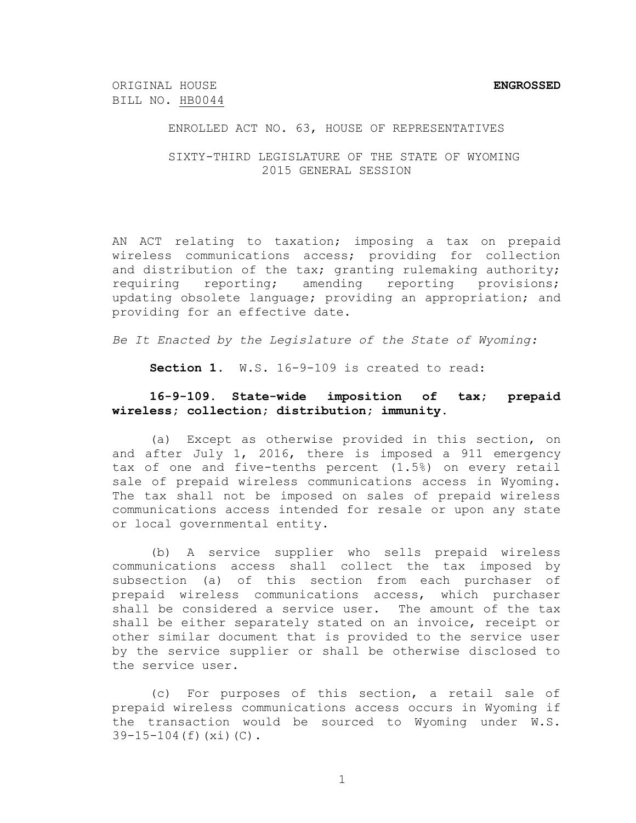ORIGINAL HOUSE **ENGROSSED** BILL NO. HB0044

#### ENROLLED ACT NO. 63, HOUSE OF REPRESENTATIVES

#### SIXTY-THIRD LEGISLATURE OF THE STATE OF WYOMING 2015 GENERAL SESSION

AN ACT relating to taxation; imposing a tax on prepaid wireless communications access; providing for collection and distribution of the tax; granting rulemaking authority; requiring reporting; amending reporting provisions; updating obsolete language; providing an appropriation; and providing for an effective date.

*Be It Enacted by the Legislature of the State of Wyoming:*

**Section 1.** W.S. 16-9-109 is created to read:

# **16-9-109. State-wide imposition of tax; prepaid wireless; collection; distribution; immunity.**

(a) Except as otherwise provided in this section, on and after July 1, 2016, there is imposed a 911 emergency tax of one and five-tenths percent (1.5%) on every retail sale of prepaid wireless communications access in Wyoming. The tax shall not be imposed on sales of prepaid wireless communications access intended for resale or upon any state or local governmental entity.

(b) A service supplier who sells prepaid wireless communications access shall collect the tax imposed by subsection (a) of this section from each purchaser of prepaid wireless communications access, which purchaser shall be considered a service user. The amount of the tax shall be either separately stated on an invoice, receipt or other similar document that is provided to the service user by the service supplier or shall be otherwise disclosed to the service user.

(c) For purposes of this section, a retail sale of prepaid wireless communications access occurs in Wyoming if the transaction would be sourced to Wyoming under W.S. 39-15-104(f)(xi)(C).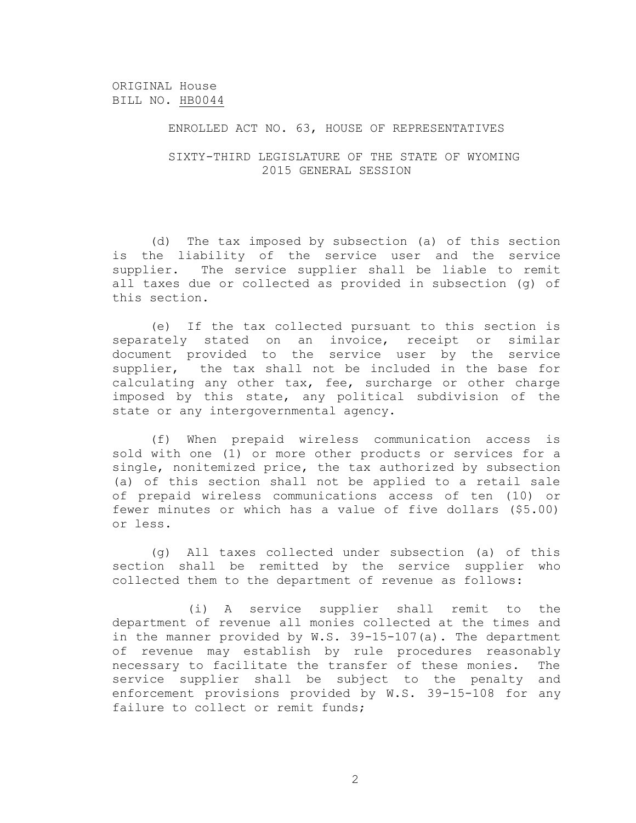## ENROLLED ACT NO. 63, HOUSE OF REPRESENTATIVES

## SIXTY-THIRD LEGISLATURE OF THE STATE OF WYOMING 2015 GENERAL SESSION

(d) The tax imposed by subsection (a) of this section is the liability of the service user and the service supplier. The service supplier shall be liable to remit all taxes due or collected as provided in subsection (g) of this section.

(e) If the tax collected pursuant to this section is separately stated on an invoice, receipt or similar document provided to the service user by the service supplier, the tax shall not be included in the base for calculating any other tax, fee, surcharge or other charge imposed by this state, any political subdivision of the state or any intergovernmental agency.

(f) When prepaid wireless communication access is sold with one (1) or more other products or services for a single, nonitemized price, the tax authorized by subsection (a) of this section shall not be applied to a retail sale of prepaid wireless communications access of ten (10) or fewer minutes or which has a value of five dollars (\$5.00) or less.

(g) All taxes collected under subsection (a) of this section shall be remitted by the service supplier who collected them to the department of revenue as follows:

(i) A service supplier shall remit to the department of revenue all monies collected at the times and in the manner provided by W.S. 39-15-107(a). The department of revenue may establish by rule procedures reasonably necessary to facilitate the transfer of these monies. The service supplier shall be subject to the penalty and enforcement provisions provided by W.S. 39-15-108 for any failure to collect or remit funds;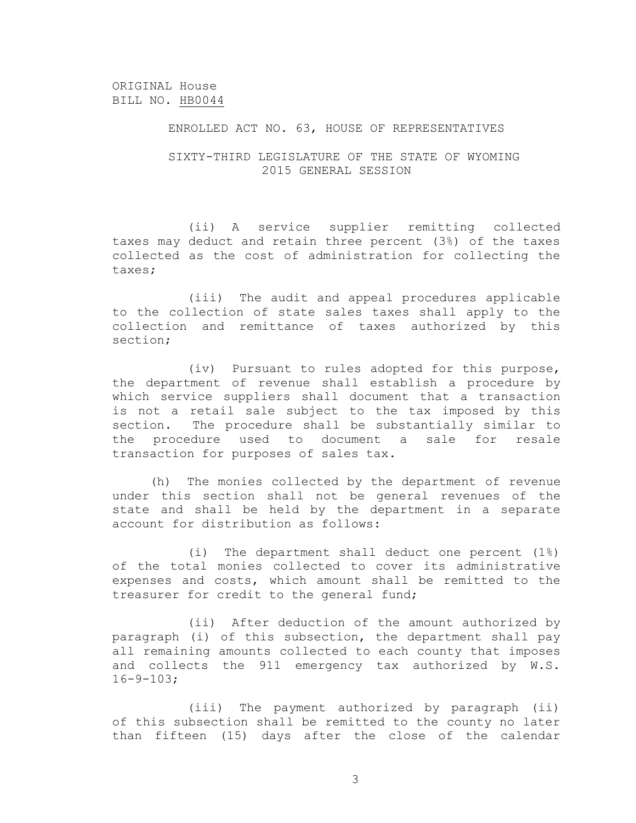## ENROLLED ACT NO. 63, HOUSE OF REPRESENTATIVES

## SIXTY-THIRD LEGISLATURE OF THE STATE OF WYOMING 2015 GENERAL SESSION

(ii) A service supplier remitting collected taxes may deduct and retain three percent (3%) of the taxes collected as the cost of administration for collecting the taxes;

(iii) The audit and appeal procedures applicable to the collection of state sales taxes shall apply to the collection and remittance of taxes authorized by this section;

(iv) Pursuant to rules adopted for this purpose, the department of revenue shall establish a procedure by which service suppliers shall document that a transaction is not a retail sale subject to the tax imposed by this section. The procedure shall be substantially similar to the procedure used to document a sale for resale transaction for purposes of sales tax.

(h) The monies collected by the department of revenue under this section shall not be general revenues of the state and shall be held by the department in a separate account for distribution as follows:

(i) The department shall deduct one percent (1%) of the total monies collected to cover its administrative expenses and costs, which amount shall be remitted to the treasurer for credit to the general fund;

(ii) After deduction of the amount authorized by paragraph (i) of this subsection, the department shall pay all remaining amounts collected to each county that imposes and collects the 911 emergency tax authorized by W.S. 16-9-103;

(iii) The payment authorized by paragraph (ii) of this subsection shall be remitted to the county no later than fifteen (15) days after the close of the calendar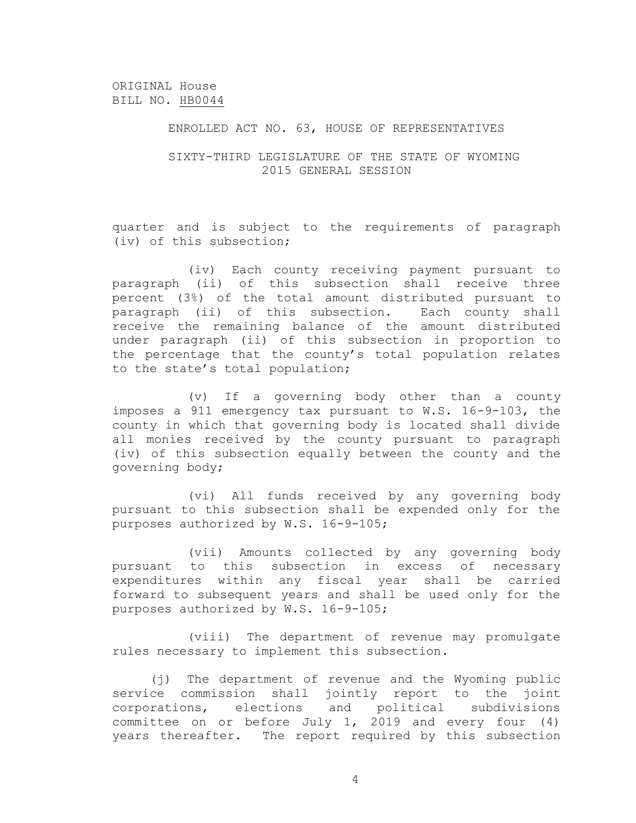## ENROLLED ACT NO. 63, HOUSE OF REPRESENTATIVES

## SIXTY-THIRD LEGISLATURE OF THE STATE OF WYOMING 2015 GENERAL SESSION

quarter and is subject to the requirements of paragraph (iv) of this subsection;

(iv) Each county receiving payment pursuant to paragraph (ii) of this subsection shall receive three percent (3%) of the total amount distributed pursuant to paragraph (ii) of this subsection. Each county shall receive the remaining balance of the amount distributed under paragraph (ii) of this subsection in proportion to the percentage that the county's total population relates to the state's total population;

(v) If a governing body other than a county imposes a 911 emergency tax pursuant to W.S. 16-9-103, the county in which that governing body is located shall divide all monies received by the county pursuant to paragraph (iv) of this subsection equally between the county and the governing body;

(vi) All funds received by any governing body pursuant to this subsection shall be expended only for the purposes authorized by W.S. 16-9-105;

(vii) Amounts collected by any governing body pursuant to this subsection in excess of necessary expenditures within any fiscal year shall be carried forward to subsequent years and shall be used only for the purposes authorized by W.S. 16-9-105;

(viii) The department of revenue may promulgate rules necessary to implement this subsection.

(j) The department of revenue and the Wyoming public service commission shall jointly report to the joint corporations, elections and political subdivisions committee on or before July 1, 2019 and every four (4) years thereafter. The report required by this subsection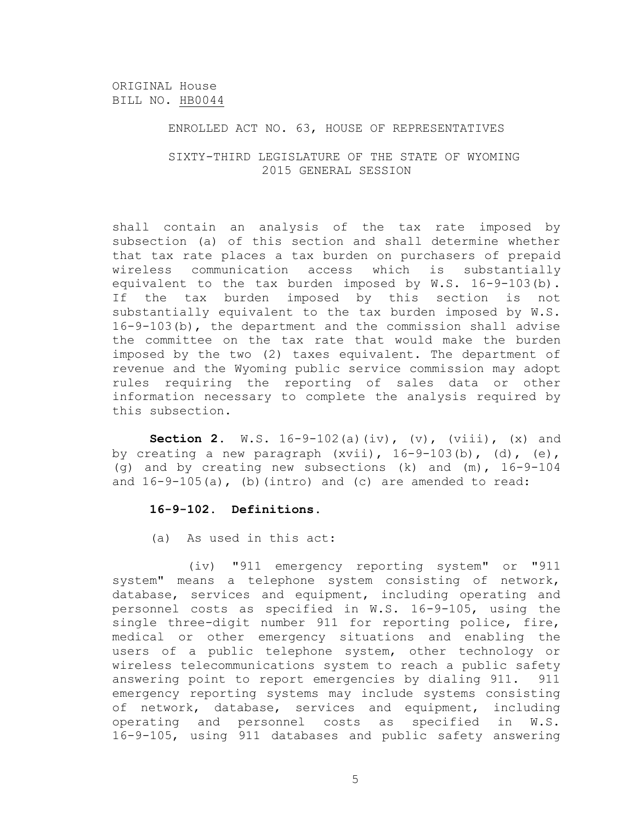## ENROLLED ACT NO. 63, HOUSE OF REPRESENTATIVES

## SIXTY-THIRD LEGISLATURE OF THE STATE OF WYOMING 2015 GENERAL SESSION

shall contain an analysis of the tax rate imposed by subsection (a) of this section and shall determine whether that tax rate places a tax burden on purchasers of prepaid wireless communication access which is substantially equivalent to the tax burden imposed by W.S. 16-9-103(b). If the tax burden imposed by this section is not substantially equivalent to the tax burden imposed by W.S. 16-9-103(b), the department and the commission shall advise the committee on the tax rate that would make the burden imposed by the two (2) taxes equivalent. The department of revenue and the Wyoming public service commission may adopt rules requiring the reporting of sales data or other information necessary to complete the analysis required by this subsection.

**Section 2.** W.S. 16-9-102(a)(iv), (v), (viii), (x) and by creating a new paragraph  $(xvii)$ ,  $16-9-103(b)$ ,  $(d)$ ,  $(e)$ , (g) and by creating new subsections (k) and (m), 16-9-104 and  $16-9-105(a)$ , (b)(intro) and (c) are amended to read:

#### **16-9-102. Definitions**.

(a) As used in this act:

(iv) "911 emergency reporting system" or "911 system" means a telephone system consisting of network, database, services and equipment, including operating and personnel costs as specified in W.S. 16-9-105, using the single three-digit number 911 for reporting police, fire, medical or other emergency situations and enabling the users of a public telephone system, other technology or wireless telecommunications system to reach a public safety answering point to report emergencies by dialing 911. 911 emergency reporting systems may include systems consisting of network, database, services and equipment, including operating and personnel costs as specified in W.S. 16-9-105, using 911 databases and public safety answering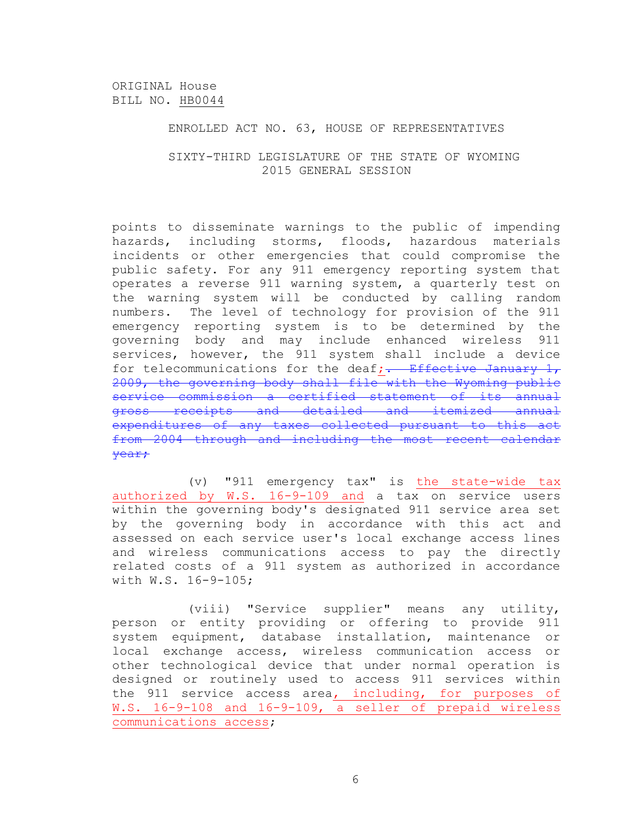## ENROLLED ACT NO. 63, HOUSE OF REPRESENTATIVES

## SIXTY-THIRD LEGISLATURE OF THE STATE OF WYOMING 2015 GENERAL SESSION

points to disseminate warnings to the public of impending hazards, including storms, floods, hazardous materials incidents or other emergencies that could compromise the public safety. For any 911 emergency reporting system that operates a reverse 911 warning system, a quarterly test on the warning system will be conducted by calling random numbers. The level of technology for provision of the 911 emergency reporting system is to be determined by the governing body and may include enhanced wireless 911 services, however, the 911 system shall include a device for telecommunications for the deaf;  $\frac{1}{1}$  Effective January 1, 2009, the governing body shall file with the Wyoming public service commission a certified statement of its annual gross receipts and detailed and itemized annual expenditures of any taxes collected pursuant to this act from 2004 through and including the most recent calendar year;

(v) "911 emergency tax" is the state-wide tax authorized by W.S. 16-9-109 and a tax on service users within the governing body's designated 911 service area set by the governing body in accordance with this act and assessed on each service user's local exchange access lines and wireless communications access to pay the directly related costs of a 911 system as authorized in accordance with W.S. 16-9-105;

(viii) "Service supplier" means any utility, person or entity providing or offering to provide 911 system equipment, database installation, maintenance or local exchange access, wireless communication access or other technological device that under normal operation is designed or routinely used to access 911 services within the 911 service access area, including, for purposes of W.S. 16-9-108 and 16-9-109, a seller of prepaid wireless communications access;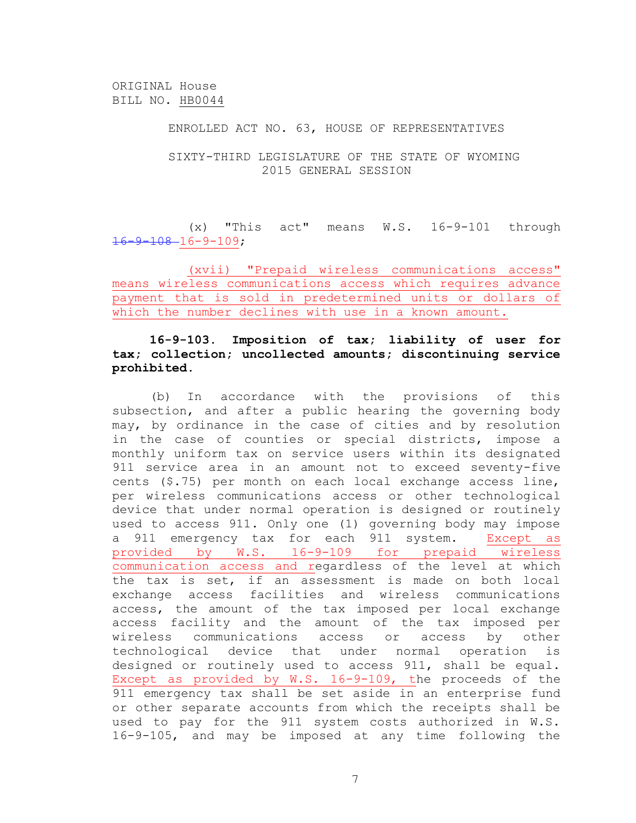#### ENROLLED ACT NO. 63, HOUSE OF REPRESENTATIVES

## SIXTY-THIRD LEGISLATURE OF THE STATE OF WYOMING 2015 GENERAL SESSION

(x) "This act" means W.S. 16-9-101 through  $16 - 9 - 108 - 16 - 9 - 109;$ 

(xvii) "Prepaid wireless communications access" means wireless communications access which requires advance payment that is sold in predetermined units or dollars of which the number declines with use in a known amount.

# **16-9-103. Imposition of tax; liability of user for tax; collection; uncollected amounts; discontinuing service prohibited**.

(b) In accordance with the provisions of this subsection, and after a public hearing the governing body may, by ordinance in the case of cities and by resolution in the case of counties or special districts, impose a monthly uniform tax on service users within its designated 911 service area in an amount not to exceed seventy-five cents (\$.75) per month on each local exchange access line, per wireless communications access or other technological device that under normal operation is designed or routinely used to access 911. Only one (1) governing body may impose a 911 emergency tax for each 911 system. Except as provided by W.S. 16-9-109 for prepaid wireless communication access and regardless of the level at which the tax is set, if an assessment is made on both local exchange access facilities and wireless communications access, the amount of the tax imposed per local exchange access facility and the amount of the tax imposed per wireless communications access or access by other technological device that under normal operation is designed or routinely used to access 911, shall be equal. Except as provided by W.S. 16-9-109, the proceeds of the 911 emergency tax shall be set aside in an enterprise fund or other separate accounts from which the receipts shall be used to pay for the 911 system costs authorized in W.S. 16-9-105, and may be imposed at any time following the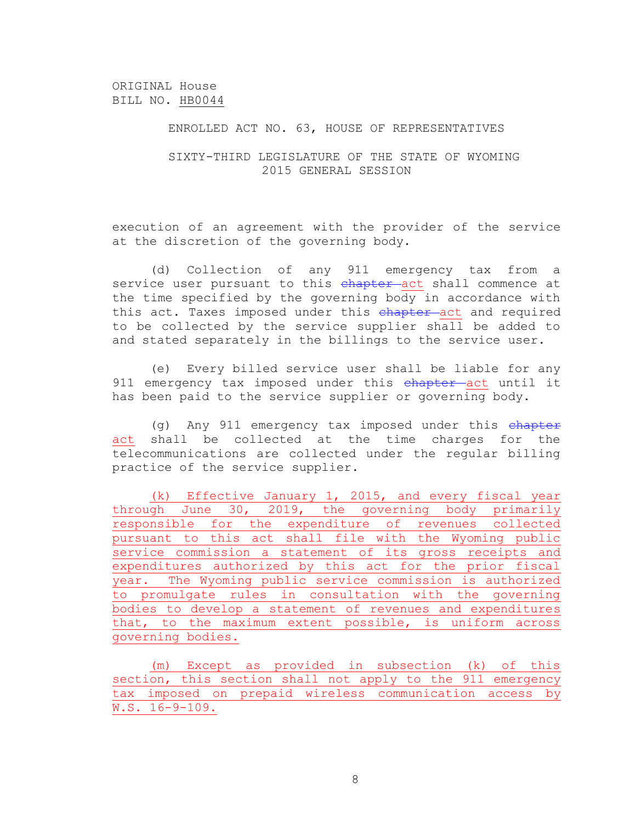## ENROLLED ACT NO. 63, HOUSE OF REPRESENTATIVES

## SIXTY-THIRD LEGISLATURE OF THE STATE OF WYOMING 2015 GENERAL SESSION

execution of an agreement with the provider of the service at the discretion of the governing body.

(d) Collection of any 911 emergency tax from a service user pursuant to this chapter act shall commence at the time specified by the governing body in accordance with this act. Taxes imposed under this chapter-act and required to be collected by the service supplier shall be added to and stated separately in the billings to the service user.

(e) Every billed service user shall be liable for any 911 emergency tax imposed under this chapter act until it has been paid to the service supplier or governing body.

 $(q)$  Any 911 emergency tax imposed under this  $eh$ apter act shall be collected at the time charges for the telecommunications are collected under the regular billing practice of the service supplier.

(k) Effective January 1, 2015, and every fiscal year through June 30, 2019, the governing body primarily responsible for the expenditure of revenues collected pursuant to this act shall file with the Wyoming public service commission a statement of its gross receipts and expenditures authorized by this act for the prior fiscal year. The Wyoming public service commission is authorized to promulgate rules in consultation with the governing bodies to develop a statement of revenues and expenditures that, to the maximum extent possible, is uniform across governing bodies.

(m) Except as provided in subsection (k) of this section, this section shall not apply to the 911 emergency tax imposed on prepaid wireless communication access by W.S. 16-9-109.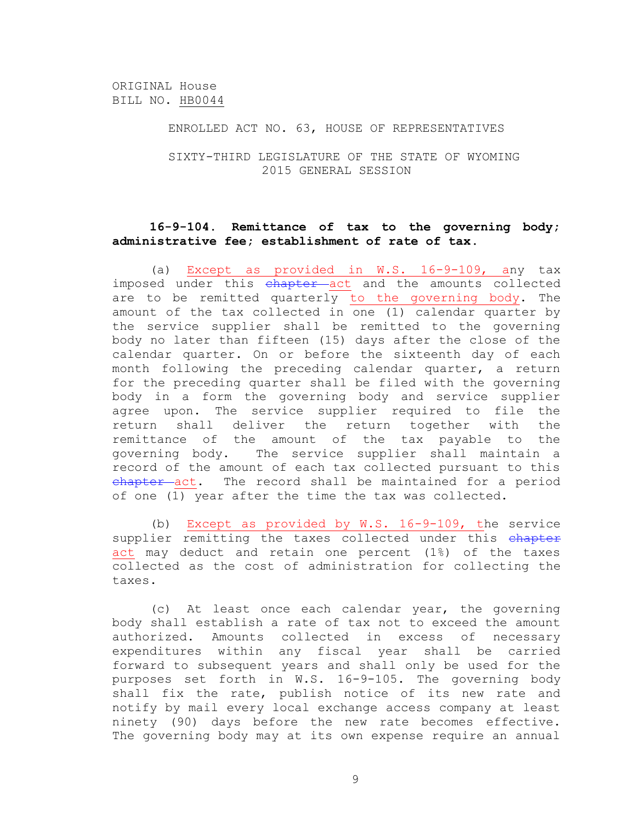#### ENROLLED ACT NO. 63, HOUSE OF REPRESENTATIVES

## SIXTY-THIRD LEGISLATURE OF THE STATE OF WYOMING 2015 GENERAL SESSION

## **16-9-104. Remittance of tax to the governing body; administrative fee; establishment of rate of tax**.

(a) Except as provided in W.S. 16-9-109, any tax imposed under this chapter act and the amounts collected are to be remitted quarterly to the governing body. The amount of the tax collected in one (1) calendar quarter by the service supplier shall be remitted to the governing body no later than fifteen (15) days after the close of the calendar quarter. On or before the sixteenth day of each month following the preceding calendar quarter, a return for the preceding quarter shall be filed with the governing body in a form the governing body and service supplier agree upon. The service supplier required to file the return shall deliver the return together with the remittance of the amount of the tax payable to the governing body. The service supplier shall maintain a record of the amount of each tax collected pursuant to this chapter act. The record shall be maintained for a period of one (1) year after the time the tax was collected.

(b) Except as provided by W.S. 16-9-109, the service supplier remitting the taxes collected under this chapter act may deduct and retain one percent (1%) of the taxes collected as the cost of administration for collecting the taxes.

(c) At least once each calendar year, the governing body shall establish a rate of tax not to exceed the amount authorized. Amounts collected in excess of necessary expenditures within any fiscal year shall be carried forward to subsequent years and shall only be used for the purposes set forth in W.S. 16-9-105. The governing body shall fix the rate, publish notice of its new rate and notify by mail every local exchange access company at least ninety (90) days before the new rate becomes effective. The governing body may at its own expense require an annual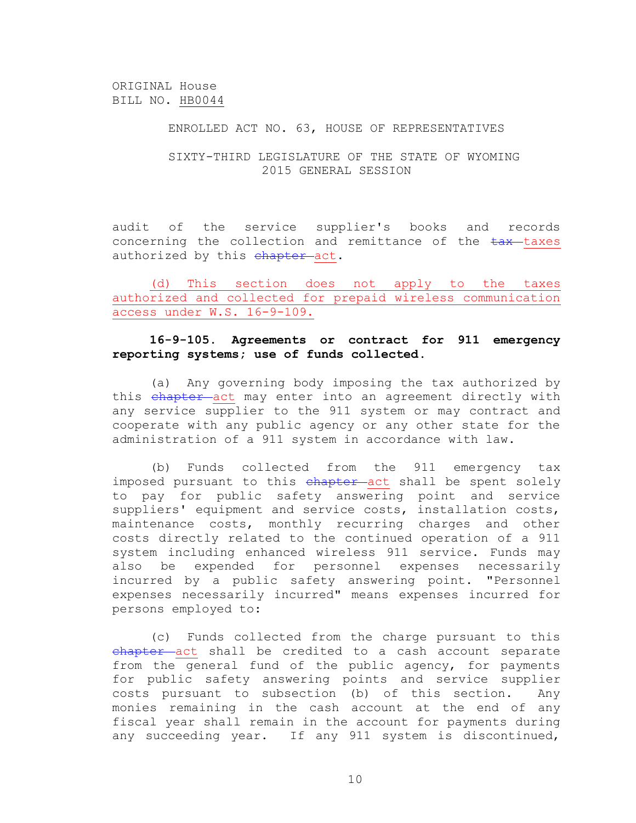## ENROLLED ACT NO. 63, HOUSE OF REPRESENTATIVES

## SIXTY-THIRD LEGISLATURE OF THE STATE OF WYOMING 2015 GENERAL SESSION

audit of the service supplier's books and records concerning the collection and remittance of the  $\frac{1}{2}$  taxes authorized by this chapter act.

(d) This section does not apply to the taxes authorized and collected for prepaid wireless communication access under W.S. 16-9-109.

## **16-9-105. Agreements or contract for 911 emergency reporting systems; use of funds collected**.

(a) Any governing body imposing the tax authorized by this chapter act may enter into an agreement directly with any service supplier to the 911 system or may contract and cooperate with any public agency or any other state for the administration of a 911 system in accordance with law.

(b) Funds collected from the 911 emergency tax imposed pursuant to this chapter act shall be spent solely to pay for public safety answering point and service suppliers' equipment and service costs, installation costs, maintenance costs, monthly recurring charges and other costs directly related to the continued operation of a 911 system including enhanced wireless 911 service. Funds may also be expended for personnel expenses necessarily incurred by a public safety answering point. "Personnel expenses necessarily incurred" means expenses incurred for persons employed to:

(c) Funds collected from the charge pursuant to this chapter act shall be credited to a cash account separate from the general fund of the public agency, for payments for public safety answering points and service supplier costs pursuant to subsection (b) of this section. Any monies remaining in the cash account at the end of any fiscal year shall remain in the account for payments during any succeeding year. If any 911 system is discontinued,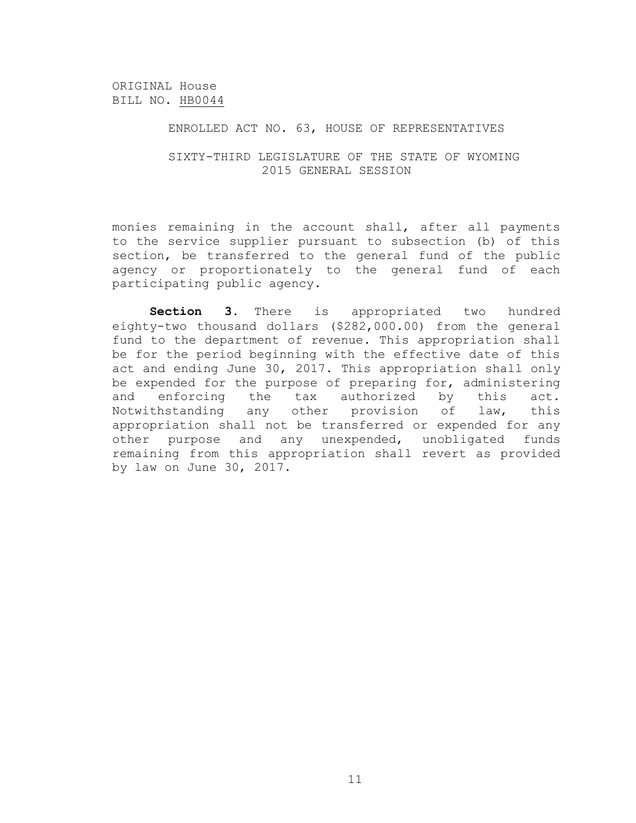## ENROLLED ACT NO. 63, HOUSE OF REPRESENTATIVES

## SIXTY-THIRD LEGISLATURE OF THE STATE OF WYOMING 2015 GENERAL SESSION

monies remaining in the account shall, after all payments to the service supplier pursuant to subsection (b) of this section, be transferred to the general fund of the public agency or proportionately to the general fund of each participating public agency.

**Section 3.** There is appropriated two hundred eighty-two thousand dollars (\$282,000.00) from the general fund to the department of revenue. This appropriation shall be for the period beginning with the effective date of this act and ending June 30, 2017. This appropriation shall only be expended for the purpose of preparing for, administering and enforcing the tax authorized by this act. Notwithstanding any other provision of law, this appropriation shall not be transferred or expended for any other purpose and any unexpended, unobligated funds remaining from this appropriation shall revert as provided by law on June 30, 2017.